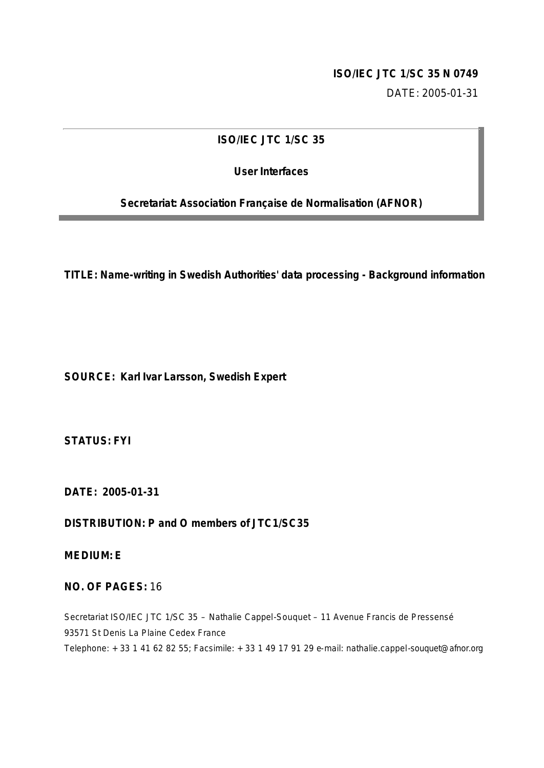## **ISO/IEC JTC 1/SC 35 N 0749**

DATE: 2005-01-31

## **ISO/IEC JTC 1/SC 35**

## **User Interfaces**

**Secretariat: Association Française de Normalisation (AFNOR)**

**TITLE: Name-writing in Swedish Authorities' data processing - Background information** 

**SOURCE: Karl Ivar Larsson, Swedish Expert**

**STATUS: FYI**

**DATE: 2005-01-31** 

**DISTRIBUTION: P and O members of JTC1/SC35**

**MEDIUM: E**

## **NO. OF PAGES:** 16

Secretariat ISO/IEC JTC 1/SC 35 – Nathalie Cappel-Souquet – 11 Avenue Francis de Pressensé 93571 St Denis La Plaine Cedex France Telephone: + 33 1 41 62 82 55; Facsimile: + 33 1 49 17 91 29 e-mail: nathalie.cappel-souquet@afnor.org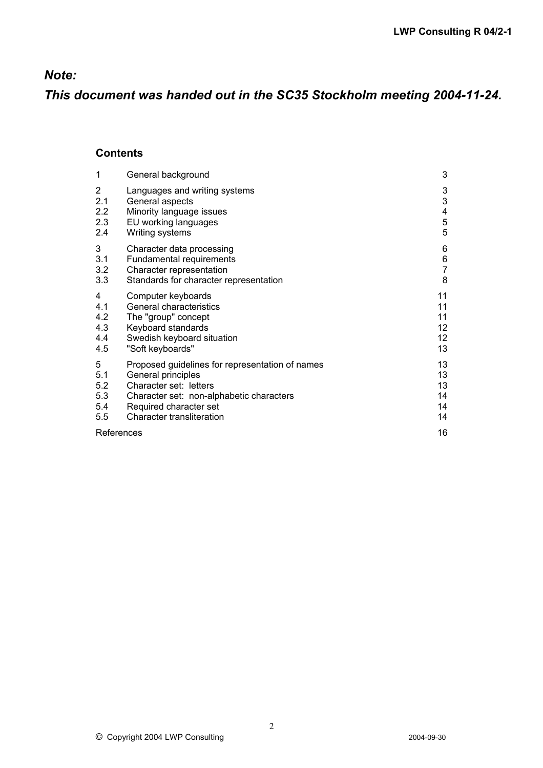## *Note:*

*This document was handed out in the SC35 Stockholm meeting 2004-11-24.*

## **Contents**

| 1          | General background                              | 3               |
|------------|-------------------------------------------------|-----------------|
| 2          | Languages and writing systems                   | 3               |
| 2.1        | General aspects                                 | 3               |
| 2.2        | Minority language issues                        | 4               |
| 2.3        | EU working languages                            | $\overline{5}$  |
| 2.4        | Writing systems                                 | 5               |
| 3          | Character data processing                       | 6               |
| 3.1        | Fundamental requirements                        | 6               |
| 3.2        | Character representation                        | $\overline{7}$  |
| 3.3        | Standards for character representation          | 8               |
| 4          | Computer keyboards                              | 11              |
| 4.1        | General characteristics                         | 11              |
| 4.2        | The "group" concept                             | 11              |
| 4.3        | Keyboard standards                              | 12 <sub>2</sub> |
| 4.4        | Swedish keyboard situation                      | 12 <sub>2</sub> |
| 4.5        | "Soft keyboards"                                | 13              |
| 5          | Proposed guidelines for representation of names | 13              |
| 5.1        | General principles                              | 13              |
| 5.2        | Character set: letters                          | 13              |
| 5.3        | Character set: non-alphabetic characters        | 14              |
| 5.4        | Required character set                          | 14              |
| 5.5        | Character transliteration                       | 14              |
| References |                                                 | 16              |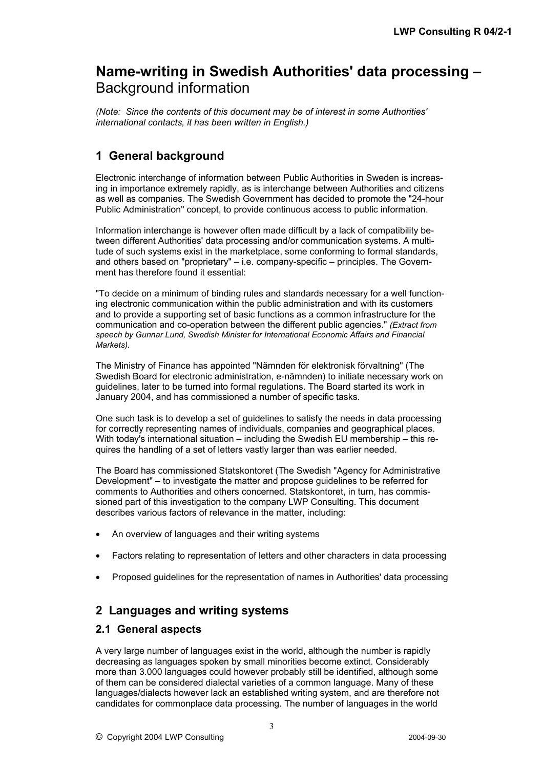# **Name-writing in Swedish Authorities' data processing –** Background information

*(Note: Since the contents of this document may be of interest in some Authorities' international contacts, it has been written in English.)*

# **1 General background**

Electronic interchange of information between Public Authorities in Sweden is increasing in importance extremely rapidly, as is interchange between Authorities and citizens as well as companies. The Swedish Government has decided to promote the "24-hour Public Administration" concept, to provide continuous access to public information.

Information interchange is however often made difficult by a lack of compatibility between different Authorities' data processing and/or communication systems. A multitude of such systems exist in the marketplace, some conforming to formal standards, and others based on "proprietary" – i.e. company-specific – principles. The Government has therefore found it essential:

"To decide on a minimum of binding rules and standards necessary for a well functioning electronic communication within the public administration and with its customers and to provide a supporting set of basic functions as a common infrastructure for the communication and co-operation between the different public agencies." *(Extract from speech by Gunnar Lund, Swedish Minister for International Economic Affairs and Financial Markets).*

The Ministry of Finance has appointed "Nämnden för elektronisk förvaltning" (The Swedish Board for electronic administration, e-nämnden) to initiate necessary work on guidelines, later to be turned into formal regulations. The Board started its work in January 2004, and has commissioned a number of specific tasks.

One such task is to develop a set of guidelines to satisfy the needs in data processing for correctly representing names of individuals, companies and geographical places. With today's international situation – including the Swedish EU membership – this requires the handling of a set of letters vastly larger than was earlier needed.

The Board has commissioned Statskontoret (The Swedish "Agency for Administrative Development" – to investigate the matter and propose guidelines to be referred for comments to Authorities and others concerned. Statskontoret, in turn, has commissioned part of this investigation to the company LWP Consulting. This document describes various factors of relevance in the matter, including:

- An overview of languages and their writing systems
- Factors relating to representation of letters and other characters in data processing
- Proposed guidelines for the representation of names in Authorities' data processing

## **2 Languages and writing systems**

### **2.1 General aspects**

A very large number of languages exist in the world, although the number is rapidly decreasing as languages spoken by small minorities become extinct. Considerably more than 3.000 languages could however probably still be identified, although some of them can be considered dialectal varieties of a common language. Many of these languages/dialects however lack an established writing system, and are therefore not candidates for commonplace data processing. The number of languages in the world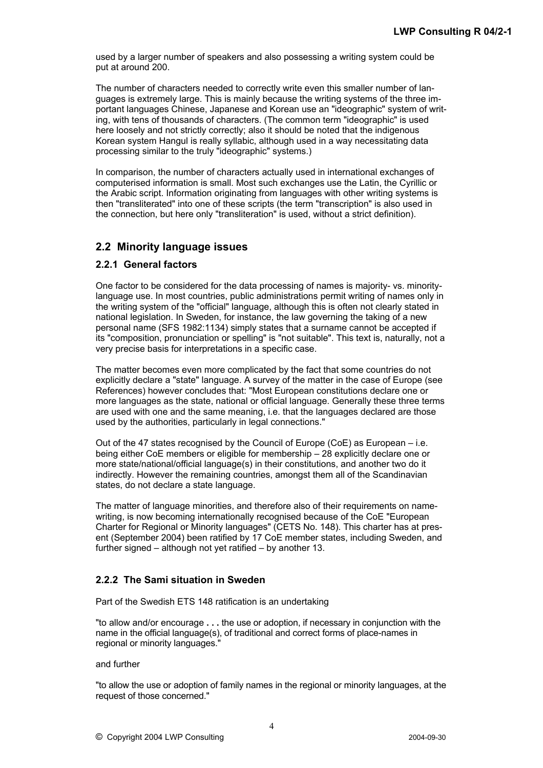used by a larger number of speakers and also possessing a writing system could be put at around 200.

The number of characters needed to correctly write even this smaller number of languages is extremely large. This is mainly because the writing systems of the three important languages Chinese, Japanese and Korean use an "ideographic" system of writing, with tens of thousands of characters. (The common term "ideographic" is used here loosely and not strictly correctly; also it should be noted that the indigenous Korean system Hangul is really syllabic, although used in a way necessitating data processing similar to the truly "ideographic" systems.)

In comparison, the number of characters actually used in international exchanges of computerised information is small. Most such exchanges use the Latin, the Cyrillic or the Arabic script. Information originating from languages with other writing systems is then "transliterated" into one of these scripts (the term "transcription" is also used in the connection, but here only "transliteration" is used, without a strict definition).

## **2.2 Minority language issues**

#### **2.2.1 General factors**

One factor to be considered for the data processing of names is majority- vs. minoritylanguage use. In most countries, public administrations permit writing of names only in the writing system of the "official" language, although this is often not clearly stated in national legislation. In Sweden, for instance, the law governing the taking of a new personal name (SFS 1982:1134) simply states that a surname cannot be accepted if its "composition, pronunciation or spelling" is "not suitable". This text is, naturally, not a very precise basis for interpretations in a specific case.

The matter becomes even more complicated by the fact that some countries do not explicitly declare a "state" language. A survey of the matter in the case of Europe (see References) however concludes that: "Most European constitutions declare one or more languages as the state, national or official language. Generally these three terms are used with one and the same meaning, i.e. that the languages declared are those used by the authorities, particularly in legal connections."

Out of the 47 states recognised by the Council of Europe (CoE) as European – i.e. being either CoE members or eligible for membership – 28 explicitly declare one or more state/national/official language(s) in their constitutions, and another two do it indirectly. However the remaining countries, amongst them all of the Scandinavian states, do not declare a state language.

The matter of language minorities, and therefore also of their requirements on namewriting, is now becoming internationally recognised because of the CoE "European Charter for Regional or Minority languages" (CETS No. 148). This charter has at present (September 2004) been ratified by 17 CoE member states, including Sweden, and further signed – although not yet ratified – by another 13.

#### **2.2.2 The Sami situation in Sweden**

Part of the Swedish ETS 148 ratification is an undertaking

"to allow and/or encourage **. . .** the use or adoption, if necessary in conjunction with the name in the official language(s), of traditional and correct forms of place-names in regional or minority languages."

#### and further

"to allow the use or adoption of family names in the regional or minority languages, at the request of those concerned."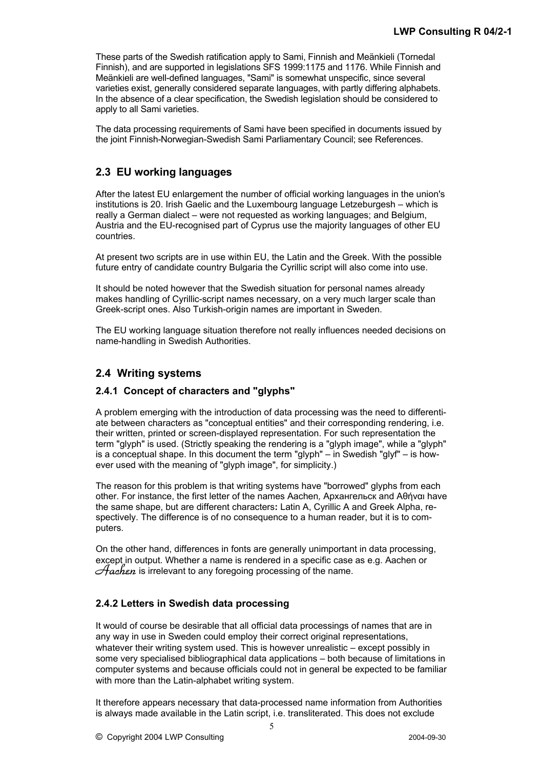These parts of the Swedish ratification apply to Sami, Finnish and Meänkieli (Tornedal Finnish), and are supported in legislations SFS 1999:1175 and 1176. While Finnish and Meänkieli are well-defined languages, "Sami" is somewhat unspecific, since several varieties exist, generally considered separate languages, with partly differing alphabets. In the absence of a clear specification, the Swedish legislation should be considered to apply to all Sami varieties.

The data processing requirements of Sami have been specified in documents issued by the joint Finnish-Norwegian-Swedish Sami Parliamentary Council; see References.

## **2.3 EU working languages**

After the latest EU enlargement the number of official working languages in the union's institutions is 20. Irish Gaelic and the Luxembourg language Letzeburgesh – which is really a German dialect – were not requested as working languages; and Belgium, Austria and the EU-recognised part of Cyprus use the majority languages of other EU countries.

At present two scripts are in use within EU, the Latin and the Greek. With the possible future entry of candidate country Bulgaria the Cyrillic script will also come into use.

It should be noted however that the Swedish situation for personal names already makes handling of Cyrillic-script names necessary, on a very much larger scale than Greek-script ones. Also Turkish-origin names are important in Sweden.

The EU working language situation therefore not really influences needed decisions on name-handling in Swedish Authorities.

## **2.4 Writing systems**

### **2.4.1 Concept of characters and "glyphs"**

A problem emerging with the introduction of data processing was the need to differentiate between characters as "conceptual entities" and their corresponding rendering, i.e. their written, printed or screen-displayed representation. For such representation the term "glyph" is used. (Strictly speaking the rendering is a "glyph image", while a "glyph" is a conceptual shape. In this document the term "glyph" – in Swedish "glyf" – is however used with the meaning of "glyph image", for simplicity.)

The reason for this problem is that writing systems have "borrowed" glyphs from each other. For instance, the first letter of the names Aachen*,* Архангельск and Αθήναι have the same shape, but are different characters**:** Latin A, Cyrillic A and Greek Alpha, respectively. The difference is of no consequence to a human reader, but it is to computers.

On the other hand, differences in fonts are generally unimportant in data processing, except in output. Whether a name is rendered in a specific case as e.g. Aachen or *Aachen* is irrelevant to any foregoing processing of the name.

### **2.4.2 Letters in Swedish data processing**

It would of course be desirable that all official data processings of names that are in any way in use in Sweden could employ their correct original representations, whatever their writing system used. This is however unrealistic – except possibly in some very specialised bibliographical data applications – both because of limitations in computer systems and because officials could not in general be expected to be familiar with more than the Latin-alphabet writing system.

It therefore appears necessary that data-processed name information from Authorities is always made available in the Latin script, i.e. transliterated. This does not exclude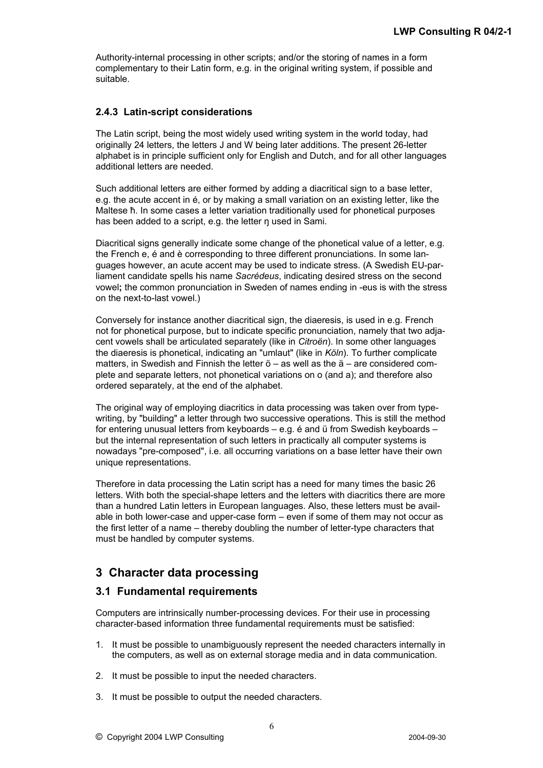Authority-internal processing in other scripts; and/or the storing of names in a form complementary to their Latin form, e.g. in the original writing system, if possible and suitable.

### **2.4.3 Latin-script considerations**

The Latin script, being the most widely used writing system in the world today, had originally 24 letters, the letters J and W being later additions. The present 26-letter alphabet is in principle sufficient only for English and Dutch, and for all other languages additional letters are needed.

Such additional letters are either formed by adding a diacritical sign to a base letter. e.g. the acute accent in é, or by making a small variation on an existing letter, like the Maltese ħ. In some cases a letter variation traditionally used for phonetical purposes has been added to a script, e.g. the letter n used in Sami.

Diacritical signs generally indicate some change of the phonetical value of a letter, e.g. the French e, é and è corresponding to three different pronunciations. In some languages however, an acute accent may be used to indicate stress. (A Swedish EU-parliament candidate spells his name *Sacrédeus*, indicating desired stress on the second vowel**;** the common pronunciation in Sweden of names ending in -eus is with the stress on the next-to-last vowel.)

Conversely for instance another diacritical sign, the diaeresis, is used in e.g. French not for phonetical purpose, but to indicate specific pronunciation, namely that two adjacent vowels shall be articulated separately (like in *Citroën*). In some other languages the diaeresis is phonetical, indicating an "umlaut" (like in *Köln*). To further complicate matters, in Swedish and Finnish the letter ö – as well as the ä – are considered complete and separate letters, not phonetical variations on o (and a); and therefore also ordered separately, at the end of the alphabet.

The original way of employing diacritics in data processing was taken over from typewriting, by "building" a letter through two successive operations. This is still the method for entering unusual letters from keyboards – e.g. é and ü from Swedish keyboards – but the internal representation of such letters in practically all computer systems is nowadays "pre-composed", i.e. all occurring variations on a base letter have their own unique representations.

Therefore in data processing the Latin script has a need for many times the basic 26 letters. With both the special-shape letters and the letters with diacritics there are more than a hundred Latin letters in European languages. Also, these letters must be available in both lower-case and upper-case form – even if some of them may not occur as the first letter of a name – thereby doubling the number of letter-type characters that must be handled by computer systems.

## **3 Character data processing**

### **3.1 Fundamental requirements**

Computers are intrinsically number-processing devices. For their use in processing character-based information three fundamental requirements must be satisfied:

- 1. It must be possible to unambiguously represent the needed characters internally in the computers, as well as on external storage media and in data communication.
- 2. It must be possible to input the needed characters.
- 3. It must be possible to output the needed characters.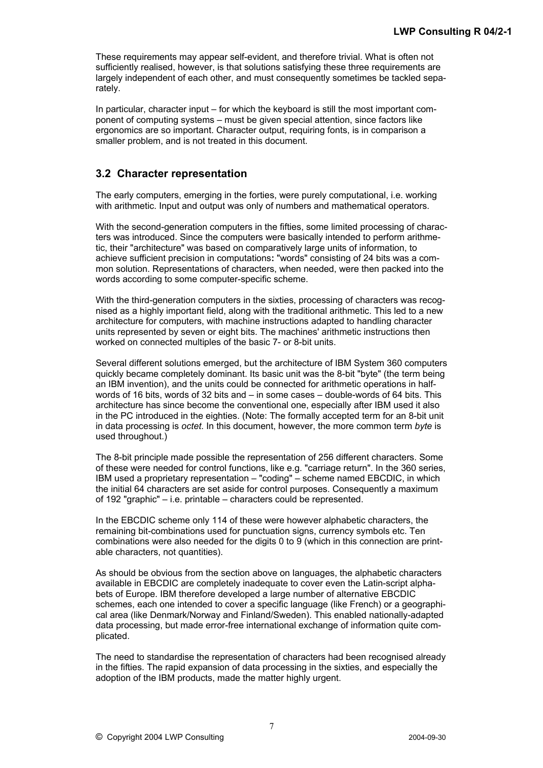These requirements may appear self-evident, and therefore trivial. What is often not sufficiently realised, however, is that solutions satisfying these three requirements are largely independent of each other, and must consequently sometimes be tackled separately.

In particular, character input – for which the keyboard is still the most important component of computing systems – must be given special attention, since factors like ergonomics are so important. Character output, requiring fonts, is in comparison a smaller problem, and is not treated in this document.

## **3.2 Character representation**

The early computers, emerging in the forties, were purely computational, i.e. working with arithmetic. Input and output was only of numbers and mathematical operators.

With the second-generation computers in the fifties, some limited processing of characters was introduced. Since the computers were basically intended to perform arithmetic, their "architecture" was based on comparatively large units of information, to achieve sufficient precision in computations**:** "words" consisting of 24 bits was a common solution. Representations of characters, when needed, were then packed into the words according to some computer-specific scheme.

With the third-generation computers in the sixties, processing of characters was recognised as a highly important field, along with the traditional arithmetic. This led to a new architecture for computers, with machine instructions adapted to handling character units represented by seven or eight bits. The machines' arithmetic instructions then worked on connected multiples of the basic 7- or 8-bit units.

Several different solutions emerged, but the architecture of IBM System 360 computers quickly became completely dominant. Its basic unit was the 8-bit "byte" (the term being an IBM invention), and the units could be connected for arithmetic operations in halfwords of 16 bits, words of 32 bits and – in some cases – double-words of 64 bits. This architecture has since become the conventional one, especially after IBM used it also in the PC introduced in the eighties. (Note: The formally accepted term for an 8-bit unit in data processing is *octet*. In this document, however, the more common term *byte* is used throughout.)

The 8-bit principle made possible the representation of 256 different characters. Some of these were needed for control functions, like e.g. "carriage return". In the 360 series, IBM used a proprietary representation – "coding" – scheme named EBCDIC, in which the initial 64 characters are set aside for control purposes. Consequently a maximum of 192 "graphic" – i.e. printable – characters could be represented.

In the EBCDIC scheme only 114 of these were however alphabetic characters, the remaining bit-combinations used for punctuation signs, currency symbols etc. Ten combinations were also needed for the digits 0 to 9 (which in this connection are printable characters, not quantities).

As should be obvious from the section above on languages, the alphabetic characters available in EBCDIC are completely inadequate to cover even the Latin-script alphabets of Europe. IBM therefore developed a large number of alternative EBCDIC schemes, each one intended to cover a specific language (like French) or a geographical area (like Denmark/Norway and Finland/Sweden). This enabled nationally-adapted data processing, but made error-free international exchange of information quite complicated.

The need to standardise the representation of characters had been recognised already in the fifties. The rapid expansion of data processing in the sixties, and especially the adoption of the IBM products, made the matter highly urgent.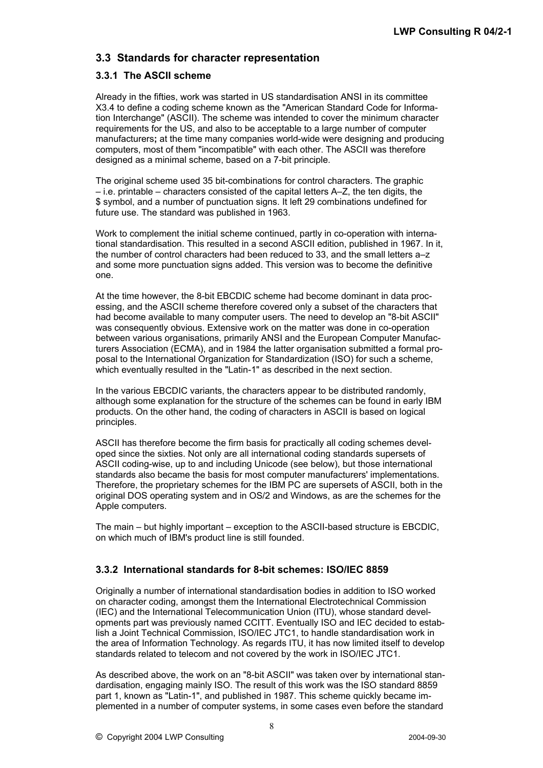## **3.3 Standards for character representation**

#### **3.3.1 The ASCII scheme**

Already in the fifties, work was started in US standardisation ANSI in its committee X3.4 to define a coding scheme known as the "American Standard Code for Information Interchange" (ASCII). The scheme was intended to cover the minimum character requirements for the US, and also to be acceptable to a large number of computer manufacturers**;** at the time many companies world-wide were designing and producing computers, most of them "incompatible" with each other. The ASCII was therefore designed as a minimal scheme, based on a 7-bit principle.

The original scheme used 35 bit-combinations for control characters. The graphic – i.e. printable – characters consisted of the capital letters A–Z, the ten digits, the \$ symbol, and a number of punctuation signs. It left 29 combinations undefined for future use. The standard was published in 1963.

Work to complement the initial scheme continued, partly in co-operation with international standardisation. This resulted in a second ASCII edition, published in 1967. In it, the number of control characters had been reduced to 33, and the small letters a–z and some more punctuation signs added. This version was to become the definitive one.

At the time however, the 8-bit EBCDIC scheme had become dominant in data processing, and the ASCII scheme therefore covered only a subset of the characters that had become available to many computer users. The need to develop an "8-bit ASCII" was consequently obvious. Extensive work on the matter was done in co-operation between various organisations, primarily ANSI and the European Computer Manufacturers Association (ECMA), and in 1984 the latter organisation submitted a formal proposal to the International Organization for Standardization (ISO) for such a scheme, which eventually resulted in the "Latin-1" as described in the next section.

In the various EBCDIC variants, the characters appear to be distributed randomly, although some explanation for the structure of the schemes can be found in early IBM products. On the other hand, the coding of characters in ASCII is based on logical principles.

ASCII has therefore become the firm basis for practically all coding schemes developed since the sixties. Not only are all international coding standards supersets of ASCII coding-wise, up to and including Unicode (see below), but those international standards also became the basis for most computer manufacturers' implementations. Therefore, the proprietary schemes for the IBM PC are supersets of ASCII, both in the original DOS operating system and in OS/2 and Windows, as are the schemes for the Apple computers.

The main – but highly important – exception to the ASCII-based structure is EBCDIC, on which much of IBM's product line is still founded.

### **3.3.2 International standards for 8-bit schemes: ISO/IEC 8859**

Originally a number of international standardisation bodies in addition to ISO worked on character coding, amongst them the International Electrotechnical Commission (IEC) and the International Telecommunication Union (ITU), whose standard developments part was previously named CCITT. Eventually ISO and IEC decided to establish a Joint Technical Commission, ISO/IEC JTC1, to handle standardisation work in the area of Information Technology. As regards ITU, it has now limited itself to develop standards related to telecom and not covered by the work in ISO/IEC JTC1.

As described above, the work on an "8-bit ASCII" was taken over by international standardisation, engaging mainly ISO. The result of this work was the ISO standard 8859 part 1, known as "Latin-1", and published in 1987. This scheme quickly became implemented in a number of computer systems, in some cases even before the standard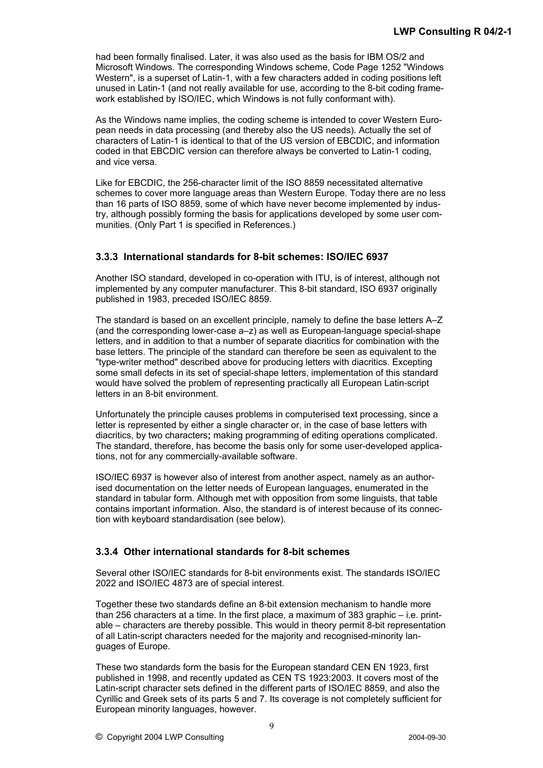had been formally finalised. Later, it was also used as the basis for IBM OS/2 and Microsoft Windows. The corresponding Windows scheme, Code Page 1252 "Windows Western", is a superset of Latin-1, with a few characters added in coding positions left unused in Latin-1 (and not really available for use, according to the 8-bit coding framework established by ISO/IEC, which Windows is not fully conformant with).

As the Windows name implies, the coding scheme is intended to cover Western European needs in data processing (and thereby also the US needs). Actually the set of characters of Latin-1 is identical to that of the US version of EBCDIC, and information coded in that EBCDIC version can therefore always be converted to Latin-1 coding, and vice versa.

Like for EBCDIC, the 256-character limit of the ISO 8859 necessitated alternative schemes to cover more language areas than Western Europe. Today there are no less than 16 parts of ISO 8859, some of which have never become implemented by industry, although possibly forming the basis for applications developed by some user communities. (Only Part 1 is specified in References.)

#### **3.3.3 International standards for 8-bit schemes: ISO/IEC 6937**

Another ISO standard, developed in co-operation with ITU, is of interest, although not implemented by any computer manufacturer. This 8-bit standard, ISO 6937 originally published in 1983, preceded ISO/IEC 8859.

The standard is based on an excellent principle, namely to define the base letters A–Z (and the corresponding lower-case a–z) as well as European-language special-shape letters, and in addition to that a number of separate diacritics for combination with the base letters. The principle of the standard can therefore be seen as equivalent to the "type-writer method" described above for producing letters with diacritics. Excepting some small defects in its set of special-shape letters, implementation of this standard would have solved the problem of representing practically all European Latin-script letters in an 8-bit environment.

Unfortunately the principle causes problems in computerised text processing, since a letter is represented by either a single character or, in the case of base letters with diacritics, by two characters**;** making programming of editing operations complicated. The standard, therefore, has become the basis only for some user-developed applications, not for any commercially-available software.

ISO/IEC 6937 is however also of interest from another aspect, namely as an authorised documentation on the letter needs of European languages, enumerated in the standard in tabular form. Although met with opposition from some linguists, that table contains important information. Also, the standard is of interest because of its connection with keyboard standardisation (see below).

### **3.3.4 Other international standards for 8-bit schemes**

Several other ISO/IEC standards for 8-bit environments exist. The standards ISO/IEC 2022 and ISO/IEC 4873 are of special interest.

Together these two standards define an 8-bit extension mechanism to handle more than 256 characters at a time. In the first place, a maximum of 383 graphic – i.e. printable – characters are thereby possible. This would in theory permit 8-bit representation of all Latin-script characters needed for the majority and recognised-minority languages of Europe.

These two standards form the basis for the European standard CEN EN 1923, first published in 1998, and recently updated as CEN TS 1923:2003. It covers most of the Latin-script character sets defined in the different parts of ISO/IEC 8859, and also the Cyrillic and Greek sets of its parts 5 and 7. Its coverage is not completely sufficient for European minority languages, however.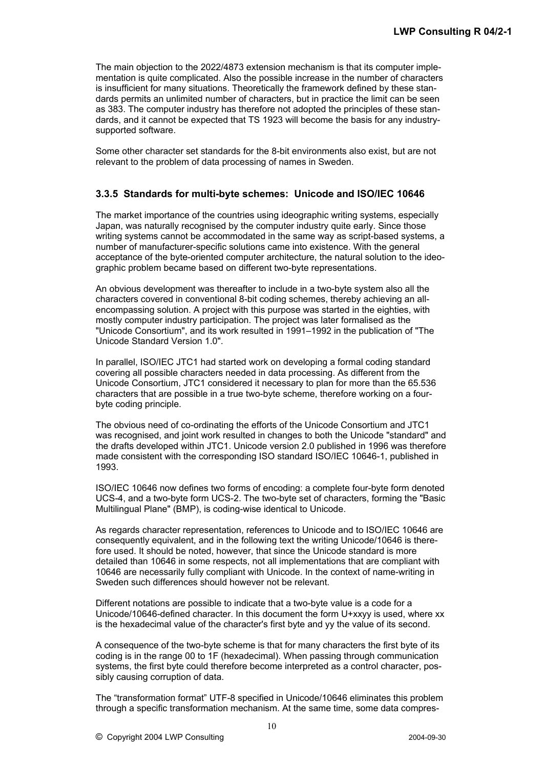The main objection to the 2022/4873 extension mechanism is that its computer implementation is quite complicated. Also the possible increase in the number of characters is insufficient for many situations. Theoretically the framework defined by these standards permits an unlimited number of characters, but in practice the limit can be seen as 383. The computer industry has therefore not adopted the principles of these standards, and it cannot be expected that TS 1923 will become the basis for any industrysupported software.

Some other character set standards for the 8-bit environments also exist, but are not relevant to the problem of data processing of names in Sweden.

#### **3.3.5 Standards for multi-byte schemes: Unicode and ISO/IEC 10646**

The market importance of the countries using ideographic writing systems, especially Japan, was naturally recognised by the computer industry quite early. Since those writing systems cannot be accommodated in the same way as script-based systems, a number of manufacturer-specific solutions came into existence. With the general acceptance of the byte-oriented computer architecture, the natural solution to the ideographic problem became based on different two-byte representations.

An obvious development was thereafter to include in a two-byte system also all the characters covered in conventional 8-bit coding schemes, thereby achieving an allencompassing solution. A project with this purpose was started in the eighties, with mostly computer industry participation. The project was later formalised as the "Unicode Consortium", and its work resulted in 1991–1992 in the publication of "The Unicode Standard Version 1.0".

In parallel, ISO/IEC JTC1 had started work on developing a formal coding standard covering all possible characters needed in data processing. As different from the Unicode Consortium, JTC1 considered it necessary to plan for more than the 65.536 characters that are possible in a true two-byte scheme, therefore working on a fourbyte coding principle.

The obvious need of co-ordinating the efforts of the Unicode Consortium and JTC1 was recognised, and joint work resulted in changes to both the Unicode "standard" and the drafts developed within JTC1. Unicode version 2.0 published in 1996 was therefore made consistent with the corresponding ISO standard ISO/IEC 10646-1, published in 1993.

ISO/IEC 10646 now defines two forms of encoding: a complete four-byte form denoted UCS-4, and a two-byte form UCS-2. The two-byte set of characters, forming the "Basic Multilingual Plane" (BMP), is coding-wise identical to Unicode.

As regards character representation, references to Unicode and to ISO/IEC 10646 are consequently equivalent, and in the following text the writing Unicode/10646 is therefore used. It should be noted, however, that since the Unicode standard is more detailed than 10646 in some respects, not all implementations that are compliant with 10646 are necessarily fully compliant with Unicode. In the context of name-writing in Sweden such differences should however not be relevant.

Different notations are possible to indicate that a two-byte value is a code for a Unicode/10646-defined character. In this document the form U+xxyy is used, where xx is the hexadecimal value of the character's first byte and yy the value of its second.

A consequence of the two-byte scheme is that for many characters the first byte of its coding is in the range 00 to 1F (hexadecimal). When passing through communication systems, the first byte could therefore become interpreted as a control character, possibly causing corruption of data.

The "transformation format" UTF-8 specified in Unicode/10646 eliminates this problem through a specific transformation mechanism. At the same time, some data compres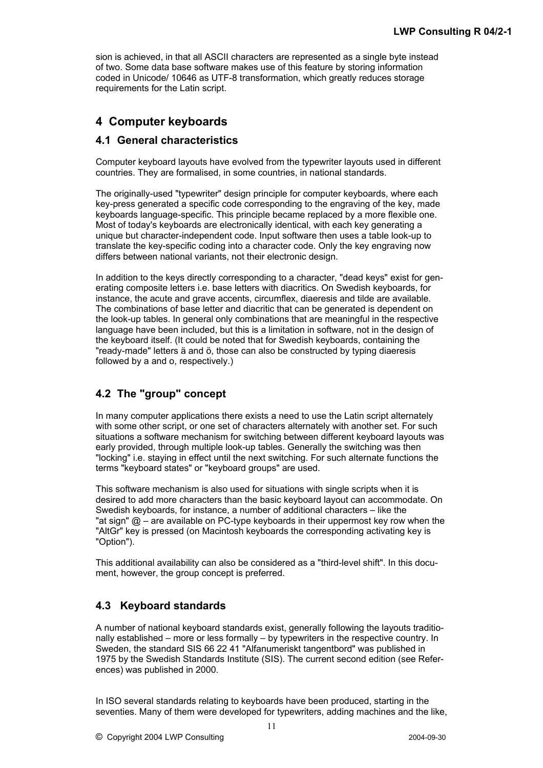sion is achieved, in that all ASCII characters are represented as a single byte instead of two. Some data base software makes use of this feature by storing information coded in Unicode/ 10646 as UTF-8 transformation, which greatly reduces storage requirements for the Latin script.

## **4 Computer keyboards**

## **4.1 General characteristics**

Computer keyboard layouts have evolved from the typewriter layouts used in different countries. They are formalised, in some countries, in national standards.

The originally-used "typewriter" design principle for computer keyboards, where each key-press generated a specific code corresponding to the engraving of the key, made keyboards language-specific. This principle became replaced by a more flexible one. Most of today's keyboards are electronically identical, with each key generating a unique but character-independent code. Input software then uses a table look-up to translate the key-specific coding into a character code. Only the key engraving now differs between national variants, not their electronic design.

In addition to the keys directly corresponding to a character, "dead keys" exist for generating composite letters i.e. base letters with diacritics. On Swedish keyboards, for instance, the acute and grave accents, circumflex, diaeresis and tilde are available. The combinations of base letter and diacritic that can be generated is dependent on the look-up tables. In general only combinations that are meaningful in the respective language have been included, but this is a limitation in software, not in the design of the keyboard itself. (It could be noted that for Swedish keyboards, containing the "ready-made" letters ä and ö, those can also be constructed by typing diaeresis followed by a and o, respectively.)

## **4.2 The "group" concept**

In many computer applications there exists a need to use the Latin script alternately with some other script, or one set of characters alternately with another set. For such situations a software mechanism for switching between different keyboard layouts was early provided, through multiple look-up tables. Generally the switching was then "locking" i.e. staying in effect until the next switching. For such alternate functions the terms "keyboard states" or "keyboard groups" are used.

This software mechanism is also used for situations with single scripts when it is desired to add more characters than the basic keyboard layout can accommodate. On Swedish keyboards, for instance, a number of additional characters – like the "at sign"  $@ -$  are available on PC-type keyboards in their uppermost key row when the "AltGr" key is pressed (on Macintosh keyboards the corresponding activating key is "Option").

This additional availability can also be considered as a "third-level shift". In this document, however, the group concept is preferred.

## **4.3 Keyboard standards**

A number of national keyboard standards exist, generally following the layouts traditionally established – more or less formally – by typewriters in the respective country. In Sweden, the standard SIS 66 22 41 "Alfanumeriskt tangentbord" was published in 1975 by the Swedish Standards Institute (SIS). The current second edition (see References) [wa](http://www.sis.se/default.aspx?tabName=@DocType_1&Doc_ID=28089)s published in 2000.

In ISO several standards relating to keyboards have been produced, starting in the seventies. Many of them were developed for typewriters, adding machines and the like,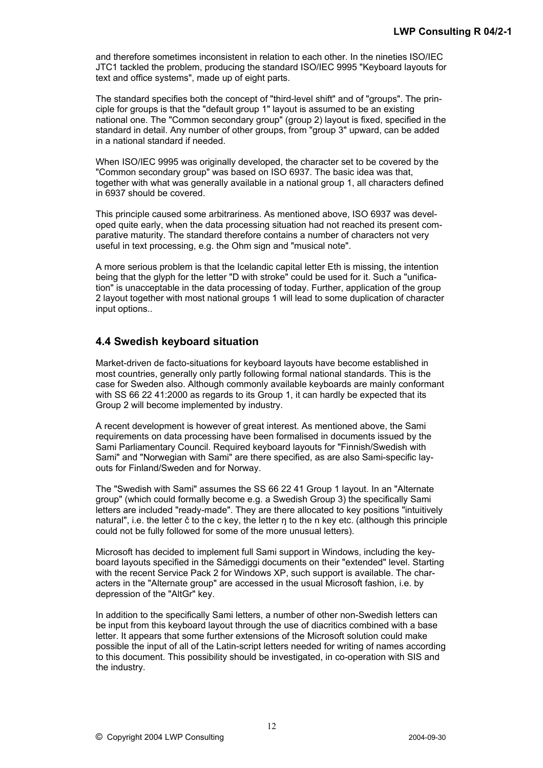and therefore sometimes inconsistent in relation to each other. In the nineties ISO/IEC JTC1 tackled the problem, producing the standard ISO/IEC 9995 "Keyboard layouts for text and office systems", made up of eight parts.

The standard specifies both the concept of "third-level shift" and of "groups". The principle for groups is that the "default group 1" layout is assumed to be an existing national one. The "Common secondary group" (group 2) layout is fixed, specified in the standard in detail. Any number of other groups, from "group 3" upward, can be added in a national standard if needed.

When ISO/IEC 9995 was originally developed, the character set to be covered by the "Common secondary group" was based on ISO 6937. The basic idea was that, together with what was generally available in a national group 1, all characters defined in 6937 should be covered.

This principle caused some arbitrariness. As mentioned above, ISO 6937 was developed quite early, when the data processing situation had not reached its present comparative maturity. The standard therefore contains a number of characters not very useful in text processing, e.g. the Ohm sign and "musical note".

A more serious problem is that the Icelandic capital letter Eth is missing, the intention being that the glyph for the letter "D with stroke" could be used for it. Such a "unification" is unacceptable in the data processing of today. Further, application of the group 2 layout together with most national groups 1 will lead to some duplication of character input options..

## **4.4 Swedish keyboard situation**

Market-driven de facto-situations for keyboard layouts have become established in most countries, generally only partly following formal national standards. This is the case for Sweden also. Although commonly available keyboards are mainly conformant with SS 66 22 41:2000 as regards to its Group 1, it can hardly be expected that its Group 2 will become implemented by industry.

A recent development is however of great interest. As mentioned above, the Sami requirements on data processing have been formalised in documents issued by the Sami Parliamentary Council. Required keyboard layouts for "Finnish/Swedish with Sami" and "Norwegian with Sami" are there specified, as are also Sami-specific layouts for Finland/Sweden and for Norway.

The "Swedish with Sami" assumes the SS 66 22 41 Group 1 layout. In an "Alternate group" (which could formally become e.g. a Swedish Group 3) the specifically Sami letters are included "ready-made". They are there allocated to key positions "intuitively natural", i.e. the letter  $\check{c}$  to the c key, the letter  $\eta$  to the n key etc. (although this principle could not be fully followed for some of the more unusual letters).

Microsoft has decided to implement full Sami support in Windows, including the keyboard layouts specified in the Sámediggi documents on their "extended" level. Starting with the recent Service Pack 2 for Windows XP, such support is available. The characters in the "Alternate group" are accessed in the usual Microsoft fashion, i.e. by depression of the "AltGr" key.

In addition to the specifically Sami letters, a number of other non-Swedish letters can be input from this keyboard layout through the use of diacritics combined with a base letter. It appears that some further extensions of the Microsoft solution could make possible the input of all of the Latin-script letters needed for writing of names according to this document. This possibility should be investigated, in co-operation with SIS and the industry.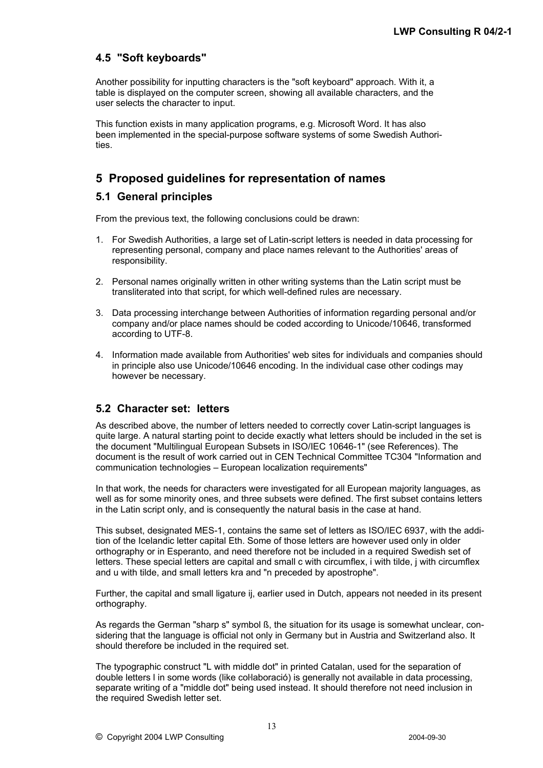## **4.5 "Soft keyboards"**

Another possibility for inputting characters is the "soft keyboard" approach. With it, a table is displayed on the computer screen, showing all available characters, and the user selects the character to input.

This function exists in many application programs, e.g. Microsoft Word. It has also been implemented in the special-purpose software systems of some Swedish Authorities.

## **5 Proposed guidelines for representation of names**

## **5.1 General principles**

From the previous text, the following conclusions could be drawn:

- 1. For Swedish Authorities, a large set of Latin-script letters is needed in data processing for representing personal, company and place names relevant to the Authorities' areas of responsibility.
- 2. Personal names originally written in other writing systems than the Latin script must be transliterated into that script, for which well-defined rules are necessary.
- 3. Data processing interchange between Authorities of information regarding personal and/or company and/or place names should be coded according to Unicode/10646, transformed according to UTF-8.
- 4. Information made available from Authorities' web sites for individuals and companies should in principle also use Unicode/10646 encoding. In the individual case other codings may however be necessary.

### **5.2 Character set: letters**

As described above, the number of letters needed to correctly cover Latin-script languages is quite large. A natural starting point to decide exactly what letters should be included in the set is the document "Multilingual European Subsets in ISO/IEC 10646-1" (see References). The document is the result of work carried out in CEN Technical Committee TC304 "Information and communication technologies – European localization requirements"

In that work, the needs for characters were investigated for all European majority languages, as well as for some minority ones, and three subsets were defined. The first subset contains letters in the Latin script only, and is consequently the natural basis in the case at hand.

This subset, designated MES-1, contains the same set of letters as ISO/IEC 6937, with the addition of the Icelandic letter capital Eth. Some of those letters are however used only in older orthography or in Esperanto, and need therefore not be included in a required Swedish set of letters. These special letters are capital and small c with circumflex, i with tilde, j with circumflex and u with tilde, and small letters kra and "n preceded by apostrophe".

Further, the capital and small ligature ij, earlier used in Dutch, appears not needed in its present orthography.

As regards the German "sharp s" symbol B, the situation for its usage is somewhat unclear, considering that the language is official not only in Germany but in Austria and Switzerland also. It should therefore be included in the required set.

The typographic construct "L with middle dot" in printed Catalan, used for the separation of double letters l in some words (like coŀlaboració) is generally not available in data processing, separate writing of a "middle dot" being used instead. It should therefore not need inclusion in the required Swedish letter set.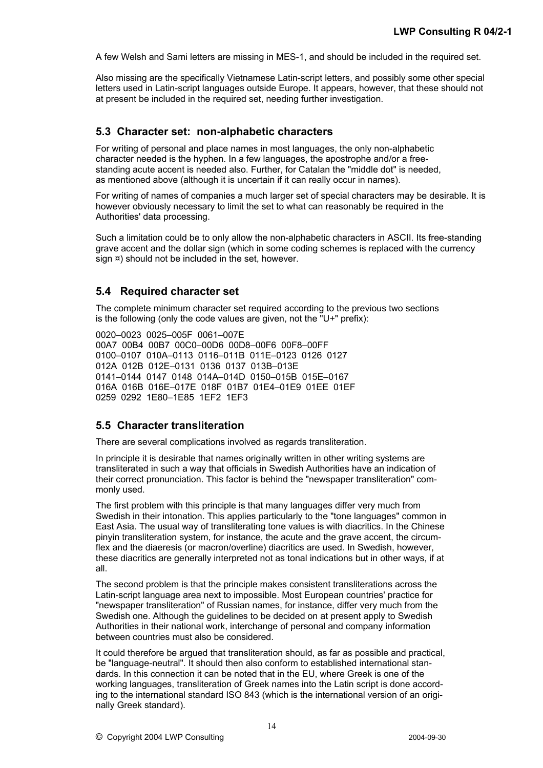A few Welsh and Sami letters are missing in MES-1, and should be included in the required set.

Also missing are the specifically Vietnamese Latin-script letters, and possibly some other special letters used in Latin-script languages outside Europe. It appears, however, that these should not at present be included in the required set, needing further investigation.

#### **5.3 Character set: non-alphabetic characters**

For writing of personal and place names in most languages, the only non-alphabetic character needed is the hyphen. In a few languages, the apostrophe and/or a freestanding acute accent is needed also. Further, for Catalan the "middle dot" is needed, as mentioned above (although it is uncertain if it can really occur in names).

For writing of names of companies a much larger set of special characters may be desirable. It is however obviously necessary to limit the set to what can reasonably be required in the Authorities' data processing.

Such a limitation could be to only allow the non-alphabetic characters in ASCII. Its free-standing grave accent and the dollar sign (which in some coding schemes is replaced with the currency sign  $\infty$ ) should not be included in the set, however.

#### **5.4 Required character set**

The complete minimum character set required according to the previous two sections is the following (only the code values are given, not the "U+" prefix):

0020–0023 0025–005F 0061–007E 00A7 00B4 00B7 00C0–00D6 00D8–00F6 00F8–00FF 0100–0107 010A–0113 0116–011B 011E–0123 0126 0127 012A 012B 012E–0131 0136 0137 013B–013E 0141–0144 0147 0148 014A–014D 0150–015B 015E–0167 016A 016B 016E–017E 018F 01B7 01E4–01E9 01EE 01EF 0259 0292 1E80–1E85 1EF2 1EF3

#### **5.5 Character transliteration**

There are several complications involved as regards transliteration.

In principle it is desirable that names originally written in other writing systems are transliterated in such a way that officials in Swedish Authorities have an indication of their correct pronunciation. This factor is behind the "newspaper transliteration" commonly used.

The first problem with this principle is that many languages differ very much from Swedish in their intonation. This applies particularly to the "tone languages" common in East Asia. The usual way of transliterating tone values is with diacritics. In the Chinese pinyin transliteration system, for instance, the acute and the grave accent, the circumflex and the diaeresis (or macron/overline) diacritics are used. In Swedish, however, these diacritics are generally interpreted not as tonal indications but in other ways, if at all.

The second problem is that the principle makes consistent transliterations across the Latin-script language area next to impossible. Most European countries' practice for "newspaper transliteration" of Russian names, for instance, differ very much from the Swedish one. Although the guidelines to be decided on at present apply to Swedish Authorities in their national work, interchange of personal and company information between countries must also be considered.

It could therefore be argued that transliteration should, as far as possible and practical, be "language-neutral". It should then also conform to established international standards. In this connection it can be noted that in the EU, where Greek is one of the working languages, transliteration of Greek names into the Latin script is done according to the international standard ISO 843 (which is the international version of an originally Greek standard).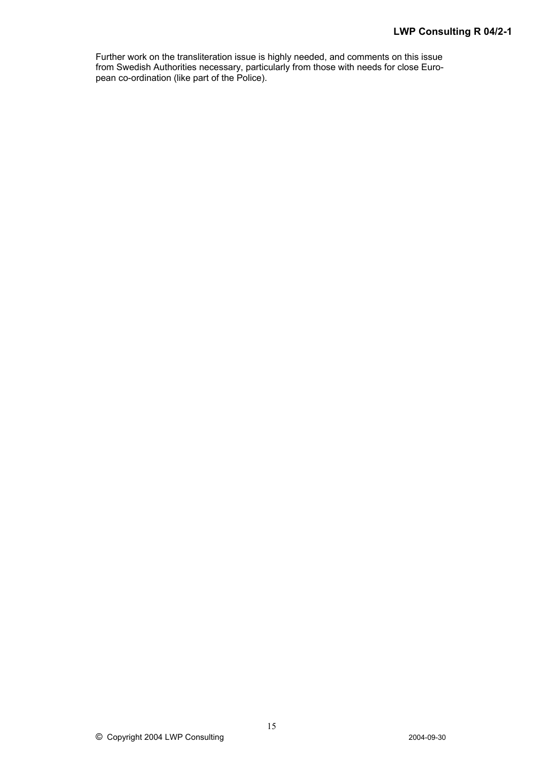Further work on the transliteration issue is highly needed, and comments on this issue from Swedish Authorities necessary, particularly from those with needs for close European co-ordination (like part of the Police).